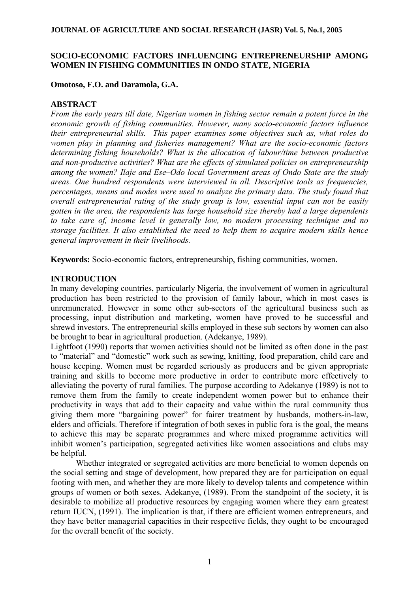## **SOCIO-ECONOMIC FACTORS INFLUENCING ENTREPRENEURSHIP AMONG WOMEN IN FISHING COMMUNITIES IN ONDO STATE, NIGERIA**

## **Omotoso, F.O. and Daramola, G.A.**

## **ABSTRACT**

*From the early years till date, Nigerian women in fishing sector remain a potent force in the economic growth of fishing communities. However, many socio-economic factors influence their entrepreneurial skills. This paper examines some objectives such as, what roles do women play in planning and fisheries management? What are the socio-economic factors determining fishing households? What is the allocation of labour/time between productive and non-productive activities? What are the effects of simulated policies on entrepreneurship among the women? Ilaje and Ese–Odo local Government areas of Ondo State are the study areas. One hundred respondents were interviewed in all. Descriptive tools as frequencies, percentages, means and modes were used to analyze the primary data. The study found that overall entrepreneurial rating of the study group is low, essential input can not be easily gotten in the area, the respondents has large household size thereby had a large dependents to take care of, income level is generally low, no modern processing technique and no storage facilities. It also established the need to help them to acquire modern skills hence general improvement in their livelihoods.*

**Keywords:** Socio-economic factors, entrepreneurship, fishing communities, women.

## **INTRODUCTION**

In many developing countries, particularly Nigeria, the involvement of women in agricultural production has been restricted to the provision of family labour, which in most cases is unremunerated. However in some other sub-sectors of the agricultural business such as processing, input distribution and marketing, women have proved to be successful and shrewd investors. The entrepreneurial skills employed in these sub sectors by women can also be brought to bear in agricultural production. (Adekanye, 1989).

Lightfoot (1990) reports that women activities should not be limited as often done in the past to "material" and "domestic" work such as sewing, knitting, food preparation, child care and house keeping. Women must be regarded seriously as producers and be given appropriate training and skills to become more productive in order to contribute more effectively to alleviating the poverty of rural families. The purpose according to Adekanye (1989) is not to remove them from the family to create independent women power but to enhance their productivity in ways that add to their capacity and value within the rural community thus giving them more "bargaining power" for fairer treatment by husbands, mothers-in-law, elders and officials. Therefore if integration of both sexes in public fora is the goal, the means to achieve this may be separate programmes and where mixed programme activities will inhibit women's participation, segregated activities like women associations and clubs may be helpful.

Whether integrated or segregated activities are more beneficial to women depends on the social setting and stage of development, how prepared they are for participation on equal footing with men, and whether they are more likely to develop talents and competence within groups of women or both sexes. Adekanye, (1989). From the standpoint of the society, it is desirable to mobilize all productive resources by engaging women where they earn greatest return IUCN, (1991). The implication is that, if there are efficient women entrepreneurs, and they have better managerial capacities in their respective fields, they ought to be encouraged for the overall benefit of the society.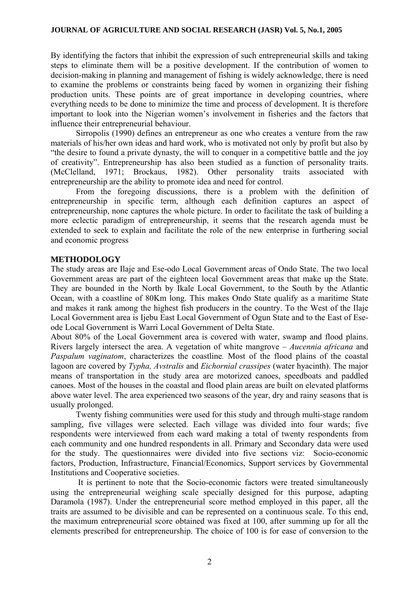By identifying the factors that inhibit the expression of such entrepreneurial skills and taking steps to eliminate them will be a positive development. If the contribution of women to decision-making in planning and management of fishing is widely acknowledge, there is need to examine the problems or constraints being faced by women in organizing their fishing production units. These points are of great importance in developing countries, where everything needs to be done to minimize the time and process of development. It is therefore important to look into the Nigerian women's involvement in fisheries and the factors that influence their entrepreneurial behaviour.

Sirropolis (1990) defines an entrepreneur as one who creates a venture from the raw materials of his/her own ideas and hard work, who is motivated not only by profit but also by "the desire to found a private dynasty, the will to conquer in a competitive battle and the joy of creativity". Entrepreneurship has also been studied as a function of personality traits. (McClelland, 1971; Brockaus, 1982). Other personality traits associated with entrepreneurship are the ability to promote idea and need for control.

From the foregoing discussions, there is a problem with the definition of entrepreneurship in specific term, although each definition captures an aspect of entrepreneurship, none captures the whole picture. In order to facilitate the task of building a more eclectic paradigm of entrepreneurship, it seems that the research agenda must be extended to seek to explain and facilitate the role of the new enterprise in furthering social and economic progress

### **METHODOLOGY**

The study areas are Ilaje and Ese-odo Local Government areas of Ondo State. The two local Government areas are part of the eighteen local Government areas that make up the State. They are bounded in the North by Ikale Local Government, to the South by the Atlantic Ocean, with a coastline of 80Km long. This makes Ondo State qualify as a maritime State and makes it rank among the highest fish producers in the country. To the West of the Ilaje Local Government area is Ijebu East Local Government of Ogun State and to the East of Eseode Local Government is Warri Local Government of Delta State.

About 80% of the Local Government area is covered with water, swamp and flood plains. Rivers largely intersect the area. A vegetation of white mangrove – *Aucennia africana* and *Paspalum vaginatom*, characterizes the coastline*.* Most of the flood plains of the coastal lagoon are covered by *Typha, Avstralis* and *Eichornial crassipes* (water hyacinth). The major means of transportation in the study area are motorized canoes, speedboats and paddled canoes. Most of the houses in the coastal and flood plain areas are built on elevated platforms above water level. The area experienced two seasons of the year, dry and rainy seasons that is usually prolonged.

Twenty fishing communities were used for this study and through multi-stage random sampling, five villages were selected. Each village was divided into four wards; five respondents were interviewed from each ward making a total of twenty respondents from each community and one hundred respondents in all. Primary and Secondary data were used for the study. The questionnaires were divided into five sections viz: Socio-economic factors, Production, Infrastructure, Financial/Economics, Support services by Governmental Institutions and Cooperative societies.

 It is pertinent to note that the Socio-economic factors were treated simultaneously using the entrepreneurial weighing scale specially designed for this purpose, adapting Daramola (1987). Under the entrepreneurial score method employed in this paper, all the traits are assumed to be divisible and can be represented on a continuous scale. To this end, the maximum entrepreneurial score obtained was fixed at 100, after summing up for all the elements prescribed for entrepreneurship. The choice of 100 is for ease of conversion to the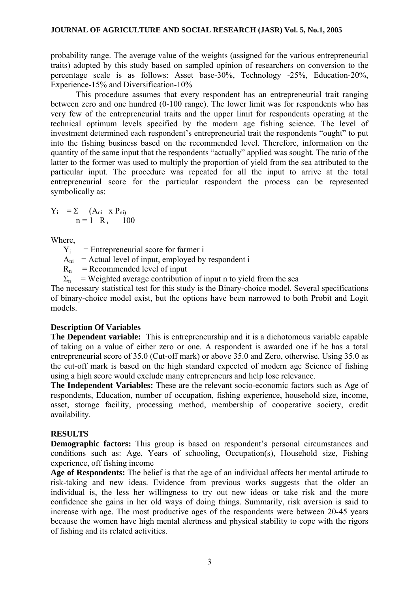probability range. The average value of the weights (assigned for the various entrepreneurial traits) adopted by this study based on sampled opinion of researchers on conversion to the percentage scale is as follows: Asset base-30%, Technology -25%, Education-20%, Experience-15% and Diversification-10%

This procedure assumes that every respondent has an entrepreneurial trait ranging between zero and one hundred (0-100 range). The lower limit was for respondents who has very few of the entrepreneurial traits and the upper limit for respondents operating at the technical optimum levels specified by the modern age fishing science. The level of investment determined each respondent's entrepreneurial trait the respondents "ought" to put into the fishing business based on the recommended level. Therefore, information on the quantity of the same input that the respondents "actually" applied was sought. The ratio of the latter to the former was used to multiply the proportion of yield from the sea attributed to the particular input. The procedure was repeated for all the input to arrive at the total entrepreneurial score for the particular respondent the process can be represented symbolically as:

$$
Y_i = \sum_{n=1}^{\infty} (A_{ni} \times P_{ni})
$$
  
n = 1 R<sub>n</sub> 100

Where,

 $Y_i$  = Entrepreneurial score for farmer i

 $A_{ni}$  = Actual level of input, employed by respondent i

 $R_n$  = Recommended level of input

 $\Sigma_n$  = Weighted average contribution of input n to yield from the sea

The necessary statistical test for this study is the Binary-choice model. Several specifications of binary-choice model exist, but the options have been narrowed to both Probit and Logit models.

# **Description Of Variables**

**The Dependent variable:** This is entrepreneurship and it is a dichotomous variable capable of taking on a value of either zero or one. A respondent is awarded one if he has a total entrepreneurial score of 35.0 (Cut-off mark) or above 35.0 and Zero, otherwise. Using 35.0 as the cut-off mark is based on the high standard expected of modern age Science of fishing using a high score would exclude many entrepreneurs and help lose relevance.

**The Independent Variables:** These are the relevant socio-economic factors such as Age of respondents, Education, number of occupation, fishing experience, household size, income, asset, storage facility, processing method, membership of cooperative society, credit availability.

# **RESULTS**

**Demographic factors:** This group is based on respondent's personal circumstances and conditions such as: Age, Years of schooling, Occupation(s), Household size, Fishing experience, off fishing income

**Age of Respondents:** The belief is that the age of an individual affects her mental attitude to risk-taking and new ideas. Evidence from previous works suggests that the older an individual is, the less her willingness to try out new ideas or take risk and the more confidence she gains in her old ways of doing things. Summarily, risk aversion is said to increase with age. The most productive ages of the respondents were between 20-45 years because the women have high mental alertness and physical stability to cope with the rigors of fishing and its related activities.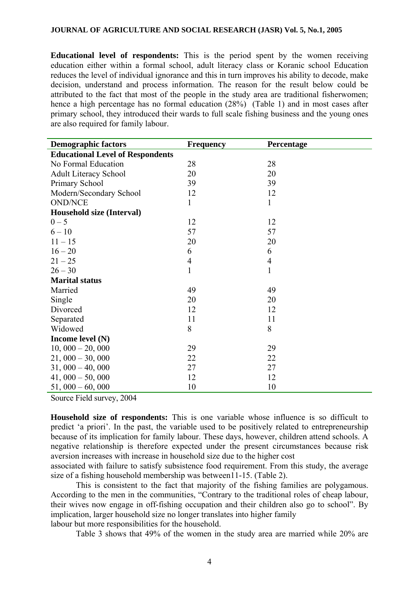**Educational level of respondents:** This is the period spent by the women receiving education either within a formal school, adult literacy class or Koranic school Education reduces the level of individual ignorance and this in turn improves his ability to decode, make decision, understand and process information. The reason for the result below could be attributed to the fact that most of the people in the study area are traditional fisherwomen; hence a high percentage has no formal education (28%) (Table 1) and in most cases after primary school, they introduced their wards to full scale fishing business and the young ones are also required for family labour.

| <b>Demographic factors</b>              | <b>Frequency</b> | Percentage     |
|-----------------------------------------|------------------|----------------|
| <b>Educational Level of Respondents</b> |                  |                |
| No Formal Education                     | 28               | 28             |
| <b>Adult Literacy School</b>            | 20               | 20             |
| Primary School                          | 39               | 39             |
| Modern/Secondary School                 | 12               | 12             |
| <b>OND/NCE</b>                          | $\mathbf{1}$     | $\mathbf{1}$   |
| <b>Household size (Interval)</b>        |                  |                |
| $0 - 5$                                 | 12               | 12             |
| $6 - 10$                                | 57               | 57             |
| $11 - 15$                               | 20               | 20             |
| $16 - 20$                               | 6                | 6              |
| $21 - 25$                               | $\overline{4}$   | $\overline{4}$ |
| $26 - 30$                               | $\mathbf{1}$     | $\mathbf{1}$   |
| <b>Marital status</b>                   |                  |                |
| Married                                 | 49               | 49             |
| Single                                  | 20               | 20             |
| Divorced                                | 12               | 12             |
| Separated                               | 11               | 11             |
| Widowed                                 | 8                | 8              |
| Income level $(N)$                      |                  |                |
| $10,000 - 20,000$                       | 29               | 29             |
| $21,000 - 30,000$                       | 22               | 22             |
| $31,000 - 40,000$                       | 27               | 27             |
| $41,000 - 50,000$                       | 12               | 12             |
| $51,000 - 60,000$                       | 10               | 10             |

Source Field survey, 2004

**Household size of respondents:** This is one variable whose influence is so difficult to predict 'a priori'. In the past, the variable used to be positively related to entrepreneurship because of its implication for family labour. These days, however, children attend schools. A negative relationship is therefore expected under the present circumstances because risk aversion increases with increase in household size due to the higher cost

associated with failure to satisfy subsistence food requirement. From this study, the average size of a fishing household membership was between11-15. (Table 2).

This is consistent to the fact that majority of the fishing families are polygamous. According to the men in the communities, "Contrary to the traditional roles of cheap labour, their wives now engage in off-fishing occupation and their children also go to school". By implication, larger household size no longer translates into higher family labour but more responsibilities for the household.

Table 3 shows that 49% of the women in the study area are married while 20% are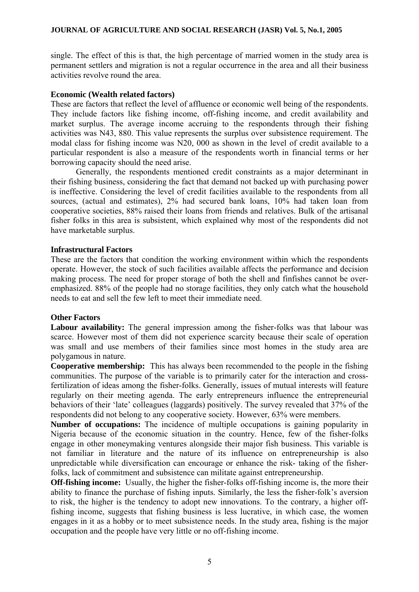single. The effect of this is that, the high percentage of married women in the study area is permanent settlers and migration is not a regular occurrence in the area and all their business activities revolve round the area.

#### **Economic (Wealth related factors)**

These are factors that reflect the level of affluence or economic well being of the respondents. They include factors like fishing income, off-fishing income, and credit availability and market surplus. The average income accruing to the respondents through their fishing activities was N43, 880. This value represents the surplus over subsistence requirement. The modal class for fishing income was N20, 000 as shown in the level of credit available to a particular respondent is also a measure of the respondents worth in financial terms or her borrowing capacity should the need arise.

 Generally, the respondents mentioned credit constraints as a major determinant in their fishing business, considering the fact that demand not backed up with purchasing power is ineffective. Considering the level of credit facilities available to the respondents from all sources, (actual and estimates), 2% had secured bank loans, 10% had taken loan from cooperative societies, 88% raised their loans from friends and relatives. Bulk of the artisanal fisher folks in this area is subsistent, which explained why most of the respondents did not have marketable surplus.

#### **Infrastructural Factors**

These are the factors that condition the working environment within which the respondents operate. However, the stock of such facilities available affects the performance and decision making process. The need for proper storage of both the shell and finfishes cannot be overemphasized. 88% of the people had no storage facilities, they only catch what the household needs to eat and sell the few left to meet their immediate need.

### **Other Factors**

**Labour availability:** The general impression among the fisher-folks was that labour was scarce. However most of them did not experience scarcity because their scale of operation was small and use members of their families since most homes in the study area are polygamous in nature.

**Cooperative membership:** This has always been recommended to the people in the fishing communities. The purpose of the variable is to primarily cater for the interaction and crossfertilization of ideas among the fisher-folks. Generally, issues of mutual interests will feature regularly on their meeting agenda. The early entrepreneurs influence the entrepreneurial behaviors of their 'late' colleagues (laggards) positively. The survey revealed that 37% of the respondents did not belong to any cooperative society. However, 63% were members.

**Number of occupations:** The incidence of multiple occupations is gaining popularity in Nigeria because of the economic situation in the country. Hence, few of the fisher-folks engage in other moneymaking ventures alongside their major fish business. This variable is not familiar in literature and the nature of its influence on entrepreneurship is also unpredictable while diversification can encourage or enhance the risk- taking of the fisherfolks, lack of commitment and subsistence can militate against entrepreneurship.

**Off-fishing income:** Usually, the higher the fisher-folks off-fishing income is, the more their ability to finance the purchase of fishing inputs. Similarly, the less the fisher-folk's aversion to risk, the higher is the tendency to adopt new innovations. To the contrary, a higher offfishing income, suggests that fishing business is less lucrative, in which case, the women engages in it as a hobby or to meet subsistence needs. In the study area, fishing is the major occupation and the people have very little or no off-fishing income.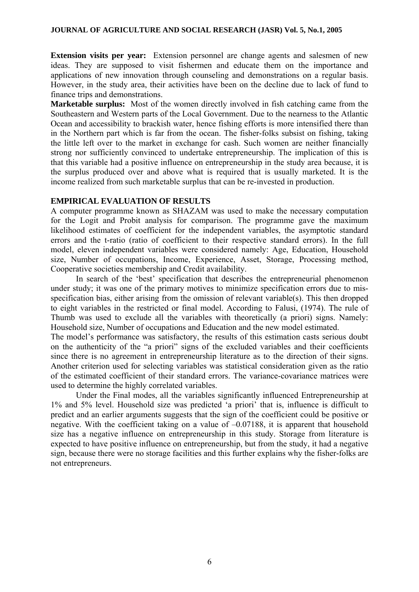**Extension visits per year:** Extension personnel are change agents and salesmen of new ideas. They are supposed to visit fishermen and educate them on the importance and applications of new innovation through counseling and demonstrations on a regular basis. However, in the study area, their activities have been on the decline due to lack of fund to finance trips and demonstrations.

**Marketable surplus:** Most of the women directly involved in fish catching came from the Southeastern and Western parts of the Local Government. Due to the nearness to the Atlantic Ocean and accessibility to brackish water, hence fishing efforts is more intensified there than in the Northern part which is far from the ocean. The fisher-folks subsist on fishing, taking the little left over to the market in exchange for cash. Such women are neither financially strong nor sufficiently convinced to undertake entrepreneurship. The implication of this is that this variable had a positive influence on entrepreneurship in the study area because, it is the surplus produced over and above what is required that is usually marketed. It is the income realized from such marketable surplus that can be re-invested in production.

### **EMPIRICAL EVALUATION OF RESULTS**

A computer programme known as SHAZAM was used to make the necessary computation for the Logit and Probit analysis for comparison. The programme gave the maximum likelihood estimates of coefficient for the independent variables, the asymptotic standard errors and the t-ratio (ratio of coefficient to their respective standard errors). In the full model, eleven independent variables were considered namely: Age, Education, Household size, Number of occupations, Income, Experience, Asset, Storage, Processing method, Cooperative societies membership and Credit availability.

In search of the 'best' specification that describes the entrepreneurial phenomenon under study; it was one of the primary motives to minimize specification errors due to misspecification bias, either arising from the omission of relevant variable(s). This then dropped to eight variables in the restricted or final model. According to Falusi, (1974). The rule of Thumb was used to exclude all the variables with theoretically (a priori) signs. Namely: Household size, Number of occupations and Education and the new model estimated.

The model's performance was satisfactory, the results of this estimation casts serious doubt on the authenticity of the "a priori" signs of the excluded variables and their coefficients since there is no agreement in entrepreneurship literature as to the direction of their signs. Another criterion used for selecting variables was statistical consideration given as the ratio of the estimated coefficient of their standard errors. The variance-covariance matrices were used to determine the highly correlated variables.

Under the Final modes, all the variables significantly influenced Entrepreneurship at 1% and 5% level. Household size was predicted 'a priori' that is, influence is difficult to predict and an earlier arguments suggests that the sign of the coefficient could be positive or negative. With the coefficient taking on a value of  $-0.07188$ , it is apparent that household size has a negative influence on entrepreneurship in this study. Storage from literature is expected to have positive influence on entrepreneurship, but from the study, it had a negative sign, because there were no storage facilities and this further explains why the fisher-folks are not entrepreneurs.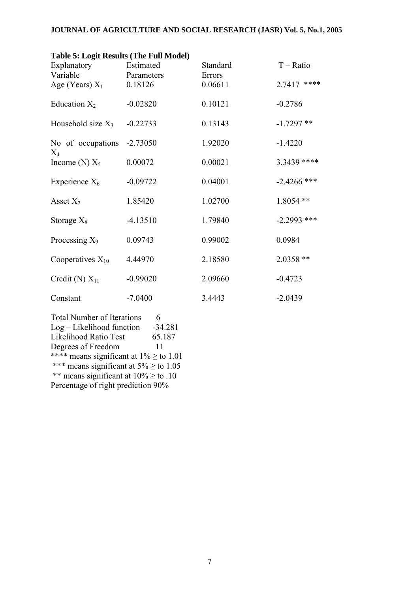| Explanatory<br>Variable        | Estimated<br>Parameters | Standard<br>Errors | $T - Ratio$   |
|--------------------------------|-------------------------|--------------------|---------------|
| Age (Years) $X_1$              | 0.18126                 | 0.06611            | 2.7417 ****   |
| Education $X_2$                | $-0.02820$              | 0.10121            | $-0.2786$     |
| Household size $X_3$           | $-0.22733$              | 0.13143            | $-1.7297**$   |
| No of occupations<br>$\rm X_4$ | $-2.73050$              | 1.92020            | $-1.4220$     |
| Income (N) $X_5$               | 0.00072                 | 0.00021            | 3.3439 ****   |
| Experience $X_6$               | $-0.09722$              | 0.04001            | $-2.4266$ *** |
| Asset $X_7$                    | 1.85420                 | 1.02700            | $1.8054$ **   |
| Storage $X_8$                  | $-4.13510$              | 1.79840            | $-2.2993$ *** |
| Processing $X_9$               | 0.09743                 | 0.99002            | 0.0984        |
| Cooperatives $X_{10}$          | 4.44970                 | 2.18580            | 2.0358 **     |
| Credit (N) $X_{11}$            | $-0.99020$              | 2.09660            | $-0.4723$     |
| Constant                       | $-7.0400$               | 3.4443             | $-2.0439$     |

# **Table 5: Logit Results (The Full Model)**

| <b>Total Number of Iterations</b>            | 6         |
|----------------------------------------------|-----------|
| $Log$ – Likelihood function                  | $-34.281$ |
| Likelihood Ratio Test                        | 65.187    |
| Degrees of Freedom                           | 11        |
| **** means significant at $1\% \geq$ to 1.01 |           |
| *** means significant at $5\% \geq$ to 1.05  |           |
| ** means significant at $10\% \geq$ to .10   |           |
| Percentage of right prediction 90%           |           |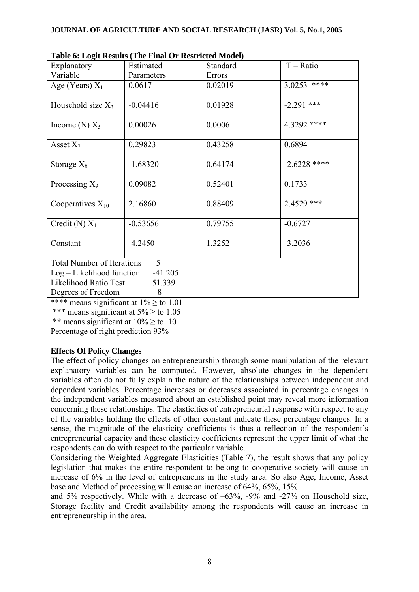| Table 6: Logit Results (The Final Or Restricted Model) |                          |          |                |  |
|--------------------------------------------------------|--------------------------|----------|----------------|--|
| Explanatory                                            | Estimated                | Standard | $T - Ratio$    |  |
| Variable                                               | Parameters               | Errors   |                |  |
| Age (Years) $X_1$                                      | 0.0617                   | 0.02019  | ****<br>3.0253 |  |
| Household size $X_3$                                   | $-0.04416$               | 0.01928  | $-2.291$ ***   |  |
| Income $(N) X_5$                                       | 0.00026                  | 0.0006   | 4.3292 ****    |  |
| Asset $X_7$                                            | 0.29823                  | 0.43258  | 0.6894         |  |
| Storage $X_8$                                          | $-1.68320$               | 0.64174  | $-2.6228$ **** |  |
| Processing $X_9$                                       | 0.09082                  | 0.52401  | 0.1733         |  |
| Cooperatives $X_{10}$                                  | 2.16860                  | 0.88409  | 2.4529 ***     |  |
| Credit (N) $X_{11}$                                    | $-0.53656$               | 0.79755  | $-0.6727$      |  |
| Constant                                               | $-4.2450$                | 1.3252   | $-3.2036$      |  |
| <b>Total Number of Iterations</b>                      | $\overline{\mathcal{L}}$ |          |                |  |
| $Log$ – Likelihood function                            | $-41.205$                |          |                |  |
|                                                        |                          |          |                |  |

**Table 6: Logit Results (The Final Or Restricted Model)** 

Likelihood Ratio Test 51.339

Degrees of Freedom 8

\*\*\*\* means significant at  $1\% \geq$  to 1.01

\*\*\* means significant at  $5\% >$  to 1.05

\*\* means significant at  $10\% >$  to .10

Percentage of right prediction 93%

# **Effects Of Policy Changes**

The effect of policy changes on entrepreneurship through some manipulation of the relevant explanatory variables can be computed. However, absolute changes in the dependent variables often do not fully explain the nature of the relationships between independent and dependent variables. Percentage increases or decreases associated in percentage changes in the independent variables measured about an established point may reveal more information concerning these relationships. The elasticities of entrepreneurial response with respect to any of the variables holding the effects of other constant indicate these percentage changes. In a sense, the magnitude of the elasticity coefficients is thus a reflection of the respondent's entrepreneurial capacity and these elasticity coefficients represent the upper limit of what the respondents can do with respect to the particular variable.

Considering the Weighted Aggregate Elasticities (Table 7), the result shows that any policy legislation that makes the entire respondent to belong to cooperative society will cause an increase of 6% in the level of entrepreneurs in the study area. So also Age, Income, Asset base and Method of processing will cause an increase of 64%, 65%, 15%

and 5% respectively. While with a decrease of –63%, -9% and -27% on Household size, Storage facility and Credit availability among the respondents will cause an increase in entrepreneurship in the area.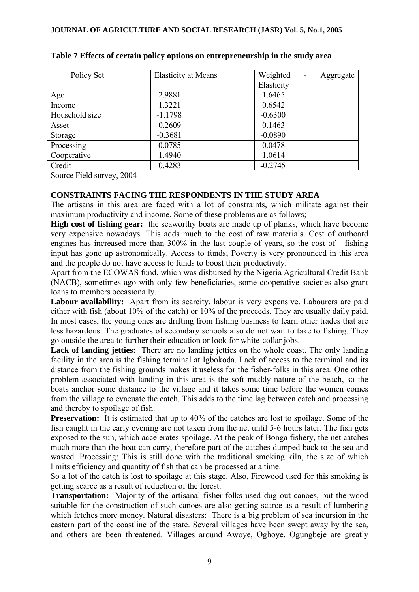| Policy Set     | <b>Elasticity at Means</b> | Weighted<br>Aggregate<br>$\overline{\phantom{a}}$ |
|----------------|----------------------------|---------------------------------------------------|
|                |                            | Elasticity                                        |
| Age            | 2.9881                     | 1.6465                                            |
| Income         | 1.3221                     | 0.6542                                            |
| Household size | $-1.1798$                  | $-0.6300$                                         |
| Asset          | 0.2609                     | 0.1463                                            |
| Storage        | $-0.3681$                  | $-0.0890$                                         |
| Processing     | 0.0785                     | 0.0478                                            |
| Cooperative    | 1.4940                     | 1.0614                                            |
| Credit         | 0.4283                     | $-0.2745$                                         |

**Table 7 Effects of certain policy options on entrepreneurship in the study area** 

Source Field survey, 2004

## **CONSTRAINTS FACING THE RESPONDENTS IN THE STUDY AREA**

The artisans in this area are faced with a lot of constraints, which militate against their maximum productivity and income. Some of these problems are as follows;

**High cost of fishing gear:** the seaworthy boats are made up of planks, which have become very expensive nowadays. This adds much to the cost of raw materials. Cost of outboard engines has increased more than 300% in the last couple of years, so the cost of fishing input has gone up astronomically. Access to funds; Poverty is very pronounced in this area and the people do not have access to funds to boost their productivity.

Apart from the ECOWAS fund, which was disbursed by the Nigeria Agricultural Credit Bank (NACB), sometimes ago with only few beneficiaries, some cooperative societies also grant loans to members occasionally.

Labour availability: Apart from its scarcity, labour is very expensive. Labourers are paid either with fish (about 10% of the catch) or 10% of the proceeds. They are usually daily paid. In most cases, the young ones are drifting from fishing business to learn other trades that are less hazardous. The graduates of secondary schools also do not wait to take to fishing. They go outside the area to further their education or look for white-collar jobs.

Lack of landing jetties: There are no landing jetties on the whole coast. The only landing facility in the area is the fishing terminal at Igbokoda. Lack of access to the terminal and its distance from the fishing grounds makes it useless for the fisher-folks in this area. One other problem associated with landing in this area is the soft muddy nature of the beach, so the boats anchor some distance to the village and it takes some time before the women comes from the village to evacuate the catch. This adds to the time lag between catch and processing and thereby to spoilage of fish.

**Preservation:** It is estimated that up to 40% of the catches are lost to spoilage. Some of the fish caught in the early evening are not taken from the net until 5-6 hours later. The fish gets exposed to the sun, which accelerates spoilage. At the peak of Bonga fishery, the net catches much more than the boat can carry, therefore part of the catches dumped back to the sea and wasted. Processing: This is still done with the traditional smoking kiln, the size of which limits efficiency and quantity of fish that can be processed at a time.

So a lot of the catch is lost to spoilage at this stage. Also, Firewood used for this smoking is getting scarce as a result of reduction of the forest.

**Transportation:** Majority of the artisanal fisher-folks used dug out canoes, but the wood suitable for the construction of such canoes are also getting scarce as a result of lumbering which fetches more money. Natural disasters: There is a big problem of sea incursion in the eastern part of the coastline of the state. Several villages have been swept away by the sea, and others are been threatened. Villages around Awoye, Oghoye, Ogungbeje are greatly